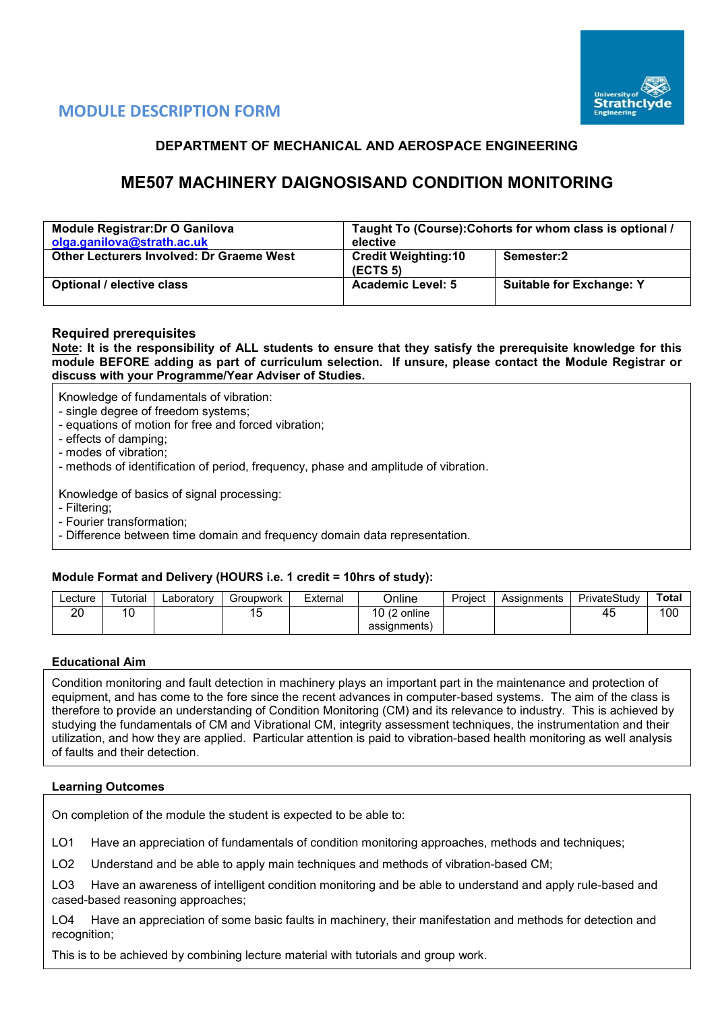

# **MODULE DESCRIPTION FORM**

# **DEPARTMENT OF MECHANICAL AND AEROSPACE ENGINEERING**

# **ME507 MACHINERY DAIGNOSISAND CONDITION MONITORING**

| <b>Module Registrar: Dr O Ganilova</b><br>olga.ganilova@strath.ac.uk | Taught To (Course): Cohorts for whom class is optional /<br>elective |                                 |  |  |  |  |
|----------------------------------------------------------------------|----------------------------------------------------------------------|---------------------------------|--|--|--|--|
| <b>Other Lecturers Involved: Dr Graeme West</b>                      | <b>Credit Weighting:10</b><br>(ECTS <sub>5</sub> )                   | Semester:2                      |  |  |  |  |
| Optional / elective class                                            | <b>Academic Level: 5</b>                                             | <b>Suitable for Exchange: Y</b> |  |  |  |  |

#### **Required prerequisites**

**Note: It is the responsibility of ALL students to ensure that they satisfy the prerequisite knowledge for this module BEFORE adding as part of curriculum selection. If unsure, please contact the Module Registrar or discuss with your Programme/Year Adviser of Studies.** 

Knowledge of fundamentals of vibration:

- single degree of freedom systems;
- equations of motion for free and forced vibration;
- effects of damping;
- modes of vibration;
- methods of identification of period, frequency, phase and amplitude of vibration.

Knowledge of basics of signal processing:

- Filtering;
- Fourier transformation;
- Difference between time domain and frequency domain data representation.

### **Module Format and Delivery (HOURS i.e. 1 credit = 10hrs of study):**

| ∟ecture  | utorıal | ∟aboratorv | Groupwork | External | <b>Jnline</b>      | Project | Assianments | PrivateStudy | Total |
|----------|---------|------------|-----------|----------|--------------------|---------|-------------|--------------|-------|
| ററ<br>∠⊾ | 10      |            | <u>ົ</u>  |          | 10(2)<br>(2 online |         |             | 45           | 100   |
|          |         |            |           |          | assignments)       |         |             |              |       |

#### **Educational Aim**

Condition monitoring and fault detection in machinery plays an important part in the maintenance and protection of equipment, and has come to the fore since the recent advances in computer-based systems. The aim of the class is therefore to provide an understanding of Condition Monitoring (CM) and its relevance to industry. This is achieved by studying the fundamentals of CM and Vibrational CM, integrity assessment techniques, the instrumentation and their utilization, and how they are applied. Particular attention is paid to vibration-based health monitoring as well analysis of faults and their detection.

### **Learning Outcomes**

On completion of the module the student is expected to be able to:

LO1 Have an appreciation of fundamentals of condition monitoring approaches, methods and techniques;

LO2 Understand and be able to apply main techniques and methods of vibration-based CM;

LO3 Have an awareness of intelligent condition monitoring and be able to understand and apply rule-based and cased-based reasoning approaches;

LO4 Have an appreciation of some basic faults in machinery, their manifestation and methods for detection and recognition;

This is to be achieved by combining lecture material with tutorials and group work.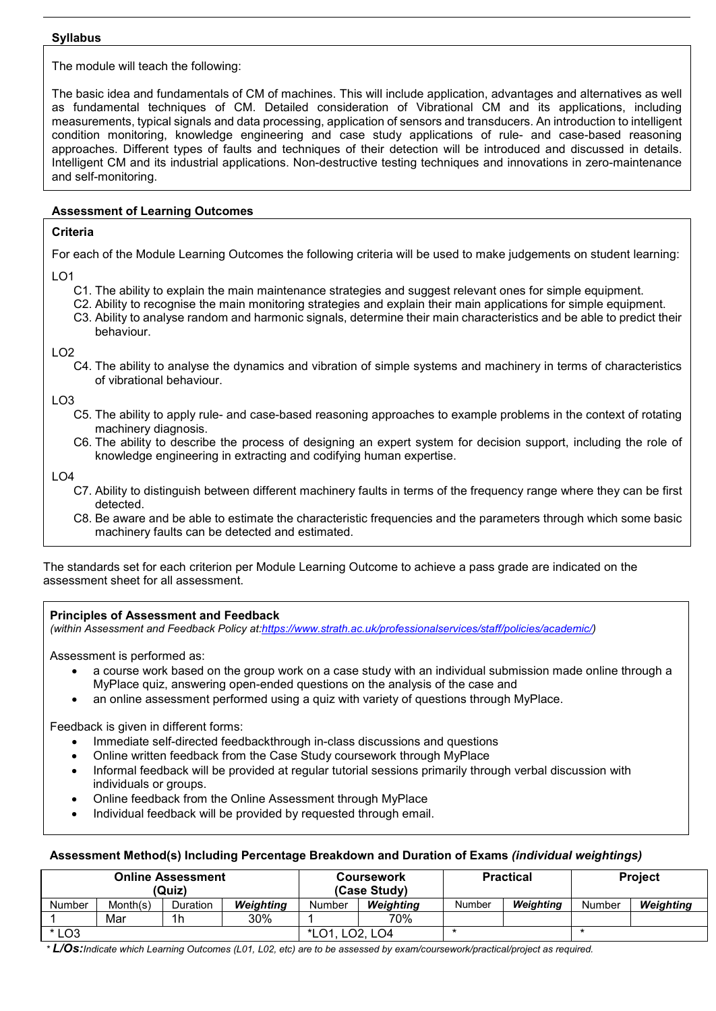#### **Syllabus**

The module will teach the following:

The basic idea and fundamentals of CM of machines. This will include application, advantages and alternatives as well as fundamental techniques of CM. Detailed consideration of Vibrational CM and its applications, including measurements, typical signals and data processing, application of sensors and transducers. An introduction to intelligent condition monitoring, knowledge engineering and case study applications of rule- and case-based reasoning approaches. Different types of faults and techniques of their detection will be introduced and discussed in details. Intelligent CM and its industrial applications. Non-destructive testing techniques and innovations in zero-maintenance and self-monitoring.

## **Assessment of Learning Outcomes**

### **Criteria**

For each of the Module Learning Outcomes the following criteria will be used to make judgements on student learning:

- LO1
	- C1. The ability to explain the main maintenance strategies and suggest relevant ones for simple equipment.
	- C2. Ability to recognise the main monitoring strategies and explain their main applications for simple equipment.
	- C3. Ability to analyse random and harmonic signals, determine their main characteristics and be able to predict their behaviour.

### $LO2$

C4. The ability to analyse the dynamics and vibration of simple systems and machinery in terms of characteristics of vibrational behaviour.

LO3

- C5. The ability to apply rule- and case-based reasoning approaches to example problems in the context of rotating machinery diagnosis.
- C6. The ability to describe the process of designing an expert system for decision support, including the role of knowledge engineering in extracting and codifying human expertise.

LO4

- C7. Ability to distinguish between different machinery faults in terms of the frequency range where they can be first detected.
- C8. Be aware and be able to estimate the characteristic frequencies and the parameters through which some basic machinery faults can be detected and estimated.

The standards set for each criterion per Module Learning Outcome to achieve a pass grade are indicated on the assessment sheet for all assessment.

### **Principles of Assessment and Feedback**

*(within Assessment and Feedback Policy a[t:https://www.strath.ac.uk/professionalservices/staff/policies/academic/\)](https://www.strath.ac.uk/professionalservices/staff/policies/academic/)*

Assessment is performed as:

- a course work based on the group work on a case study with an individual submission made online through a MyPlace quiz, answering open-ended questions on the analysis of the case and
- an online assessment performed using a quiz with variety of questions through MyPlace.

Feedback is given in different forms:

- Immediate self-directed feedbackthrough in-class discussions and questions
- Online written feedback from the Case Study coursework through MyPlace
- Informal feedback will be provided at regular tutorial sessions primarily through verbal discussion with individuals or groups.
- Online feedback from the Online Assessment through MyPlace
- Individual feedback will be provided by requested through email.

### **Assessment Method(s) Including Percentage Breakdown and Duration of Exams** *(individual weightings)*

| Online Assessment<br>(Quiz) |          |                |           |         | Coursework<br>(Case Study) |        | <b>Practical</b> | <b>Project</b> |           |  |
|-----------------------------|----------|----------------|-----------|---------|----------------------------|--------|------------------|----------------|-----------|--|
| <b>Number</b>               | Month(s) | Duration       | Weiahtina | Number  | Weiahtina                  | Number | Weighting        | Number         | Weighting |  |
|                             | Mar      | 1 <sub>h</sub> | 30%       |         | 70%                        |        |                  |                |           |  |
| $*$ LO3                     |          |                |           | $*$ LO1 | ∟02, LO4                   | *      |                  |                |           |  |

*\* L/Os:Indicate which Learning Outcomes (L01, L02, etc) are to be assessed by exam/coursework/practical/project as required.*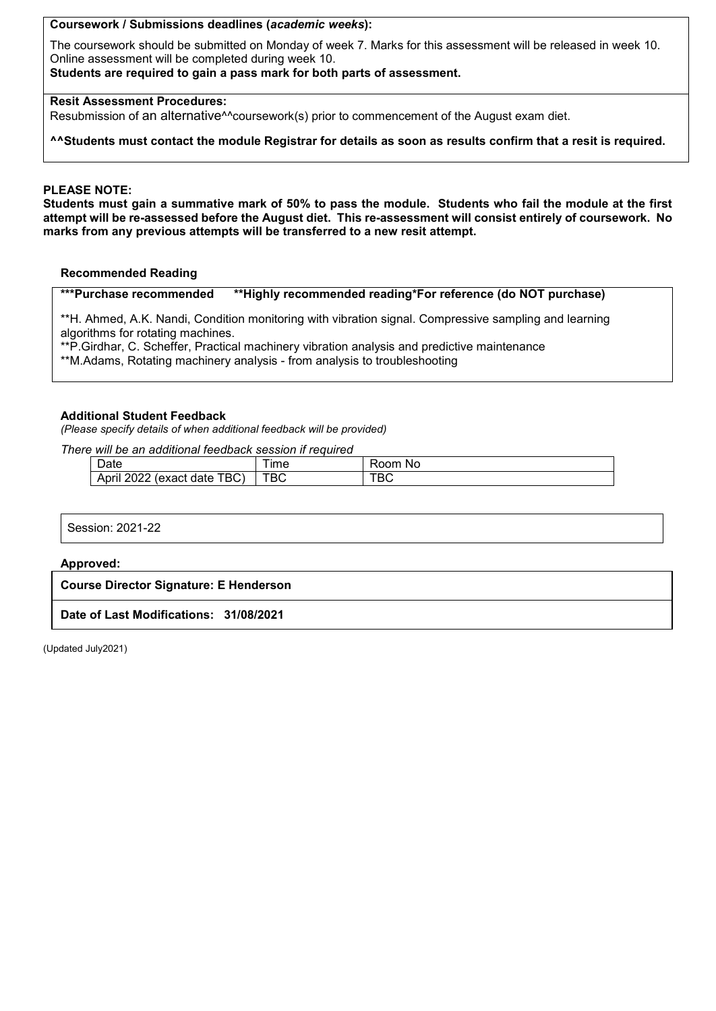**Coursework / Submissions deadlines (***academic weeks***):**

The coursework should be submitted on Monday of week 7. Marks for this assessment will be released in week 10. Online assessment will be completed during week 10.

**Students are required to gain a pass mark for both parts of assessment.**

## **Resit Assessment Procedures:**

Resubmission of an alternative^^coursework(s) prior to commencement of the August exam diet.

**^^Students must contact the module Registrar for details as soon as results confirm that a resit is required.**

## **PLEASE NOTE:**

**Students must gain a summative mark of 50% to pass the module. Students who fail the module at the first attempt will be re-assessed before the August diet. This re-assessment will consist entirely of coursework. No marks from any previous attempts will be transferred to a new resit attempt.**

#### **Recommended Reading**

**\*\*\*Purchase recommended \*\*Highly recommended reading\*For reference (do NOT purchase)**

\*\*H. Ahmed, A.K. Nandi, Condition monitoring with vibration signal. Compressive sampling and learning algorithms for rotating machines.

\*\*P.Girdhar, C. Scheffer, Practical machinery vibration analysis and predictive maintenance

\*\*M.Adams, Rotating machinery analysis - from analysis to troubleshooting

#### **Additional Student Feedback**

*(Please specify details of when additional feedback will be provided)*

*There will be an additional feedback session if required*

| Date                                                    | ıme | ~~<br>Nc |
|---------------------------------------------------------|-----|----------|
| [BC)<br>nnnn<br>Anri<br>date<br>exact'<br>וווער<br>---- | ™ВС | טס       |

Session: 2021-22

#### **Approved:**

**Course Director Signature: E Henderson**

**Date of Last Modifications: 31/08/2021**

(Updated July2021)